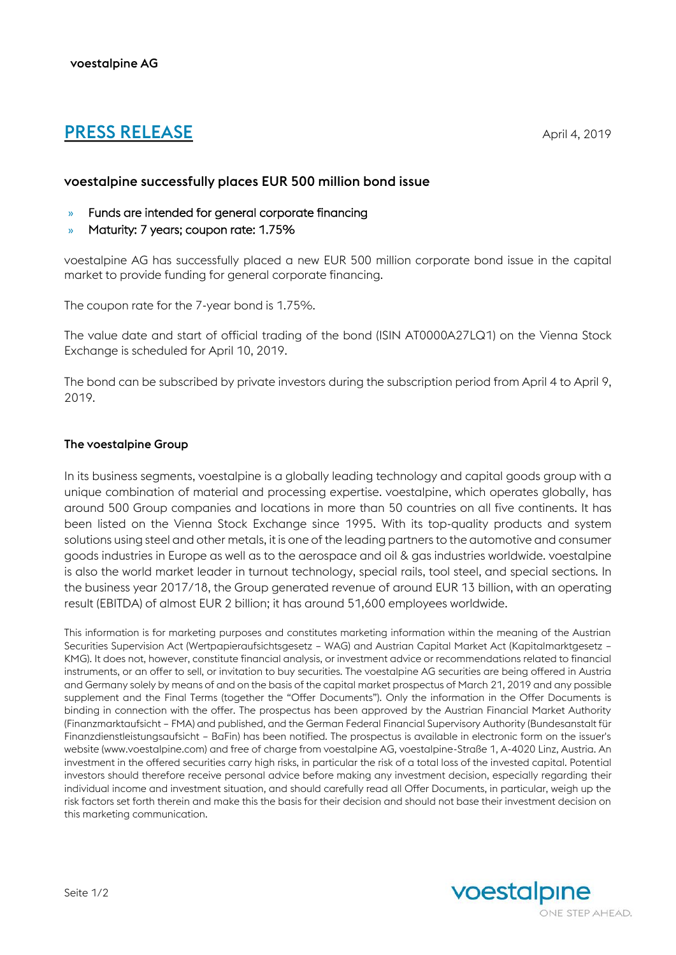# **PRESS RELEASE** April 4, 2019

## voestalpine successfully places EUR 500 million bond issue

- » Funds are intended for general corporate financing
- » Maturity: 7 years; coupon rate: 1.75%

voestalpine AG has successfully placed a new EUR 500 million corporate bond issue in the capital market to provide funding for general corporate financing.

The coupon rate for the 7-year bond is 1.75%.

The value date and start of official trading of the bond (ISIN AT0000A27LQ1) on the Vienna Stock Exchange is scheduled for April 10, 2019.

The bond can be subscribed by private investors during the subscription period from April 4 to April 9, 2019.

### The voestalpine Group

In its business segments, voestalpine is a globally leading technology and capital goods group with a unique combination of material and processing expertise. voestalpine, which operates globally, has around 500 Group companies and locations in more than 50 countries on all five continents. It has been listed on the Vienna Stock Exchange since 1995. With its top-quality products and system solutions using steel and other metals, it is one of the leading partners to the automotive and consumer goods industries in Europe as well as to the aerospace and oil & gas industries worldwide. voestalpine is also the world market leader in turnout technology, special rails, tool steel, and special sections. In the business year 2017/18, the Group generated revenue of around EUR 13 billion, with an operating result (EBITDA) of almost EUR 2 billion; it has around 51,600 employees worldwide.

This information is for marketing purposes and constitutes marketing information within the meaning of the Austrian Securities Supervision Act (Wertpapieraufsichtsgesetz – WAG) and Austrian Capital Market Act (Kapitalmarktgesetz – KMG). It does not, however, constitute financial analysis, or investment advice or recommendations related to financial instruments, or an offer to sell, or invitation to buy securities. The voestalpine AG securities are being offered in Austria and Germany solely by means of and on the basis of the capital market prospectus of March 21, 2019 and any possible supplement and the Final Terms (together the "Offer Documents"). Only the information in the Offer Documents is binding in connection with the offer. The prospectus has been approved by the Austrian Financial Market Authority (Finanzmarktaufsicht – FMA) and published, and the German Federal Financial Supervisory Authority (Bundesanstalt für Finanzdienstleistungsaufsicht – BaFin) has been notified. The prospectus is available in electronic form on the issuer's website (www.voestalpine.com) and free of charge from voestalpine AG, voestalpine-Straße 1, A-4020 Linz, Austria. An investment in the offered securities carry high risks, in particular the risk of a total loss of the invested capital. Potential investors should therefore receive personal advice before making any investment decision, especially regarding their individual income and investment situation, and should carefully read all Offer Documents, in particular, weigh up the risk factors set forth therein and make this the basis for their decision and should not base their investment decision on this marketing communication.